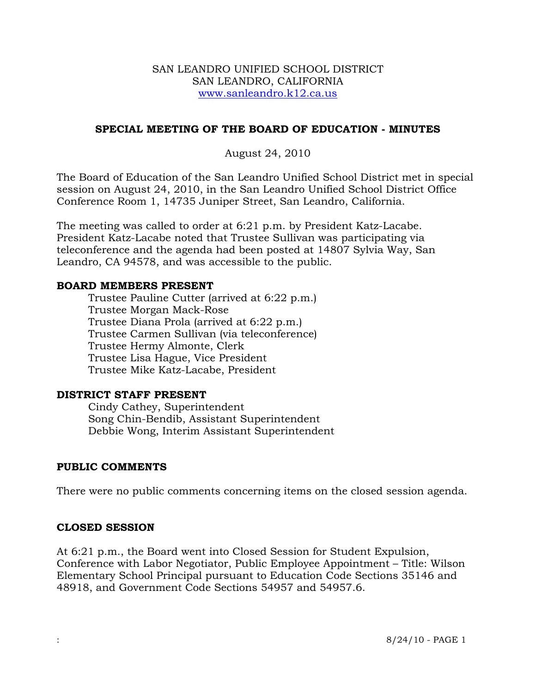#### SAN LEANDRO UNIFIED SCHOOL DISTRICT SAN LEANDRO, CALIFORNIA www.sanleandro.k12.ca.us

# **SPECIAL MEETING OF THE BOARD OF EDUCATION - MINUTES**

August 24, 2010

The Board of Education of the San Leandro Unified School District met in special session on August 24, 2010, in the San Leandro Unified School District Office Conference Room 1, 14735 Juniper Street, San Leandro, California.

The meeting was called to order at 6:21 p.m. by President Katz-Lacabe. President Katz-Lacabe noted that Trustee Sullivan was participating via teleconference and the agenda had been posted at 14807 Sylvia Way, San Leandro, CA 94578, and was accessible to the public.

#### **BOARD MEMBERS PRESENT**

Trustee Pauline Cutter (arrived at 6:22 p.m.) Trustee Morgan Mack-Rose Trustee Diana Prola (arrived at 6:22 p.m.) Trustee Carmen Sullivan (via teleconference) Trustee Hermy Almonte, Clerk Trustee Lisa Hague, Vice President Trustee Mike Katz-Lacabe, President

# **DISTRICT STAFF PRESENT**

Cindy Cathey, Superintendent Song Chin-Bendib, Assistant Superintendent Debbie Wong, Interim Assistant Superintendent

# **PUBLIC COMMENTS**

There were no public comments concerning items on the closed session agenda.

# **CLOSED SESSION**

At 6:21 p.m., the Board went into Closed Session for Student Expulsion, Conference with Labor Negotiator, Public Employee Appointment – Title: Wilson Elementary School Principal pursuant to Education Code Sections 35146 and 48918, and Government Code Sections 54957 and 54957.6.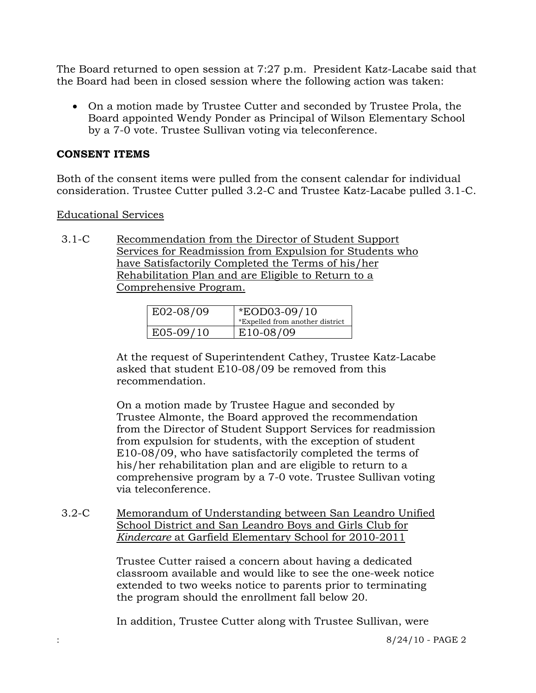The Board returned to open session at 7:27 p.m. President Katz-Lacabe said that the Board had been in closed session where the following action was taken:

 On a motion made by Trustee Cutter and seconded by Trustee Prola, the Board appointed Wendy Ponder as Principal of Wilson Elementary School by a 7-0 vote. Trustee Sullivan voting via teleconference.

### **CONSENT ITEMS**

Both of the consent items were pulled from the consent calendar for individual consideration. Trustee Cutter pulled 3.2-C and Trustee Katz-Lacabe pulled 3.1-C.

#### Educational Services

3.1-C Recommendation from the Director of Student Support Services for Readmission from Expulsion for Students who have Satisfactorily Completed the Terms of his/her Rehabilitation Plan and are Eligible to Return to a Comprehensive Program.

| $E02-08/09$ | <i>*EOD03-09/10</i><br>*Expelled from another district |
|-------------|--------------------------------------------------------|
| $E05-09/10$ | E10-08/09                                              |

At the request of Superintendent Cathey, Trustee Katz-Lacabe asked that student E10-08/09 be removed from this recommendation.

On a motion made by Trustee Hague and seconded by Trustee Almonte, the Board approved the recommendation from the Director of Student Support Services for readmission from expulsion for students, with the exception of student E10-08/09, who have satisfactorily completed the terms of his/her rehabilitation plan and are eligible to return to a comprehensive program by a 7-0 vote. Trustee Sullivan voting via teleconference.

3.2-C Memorandum of Understanding between San Leandro Unified School District and San Leandro Boys and Girls Club for *Kindercare* at Garfield Elementary School for 2010-2011

> Trustee Cutter raised a concern about having a dedicated classroom available and would like to see the one-week notice extended to two weeks notice to parents prior to terminating the program should the enrollment fall below 20.

In addition, Trustee Cutter along with Trustee Sullivan, were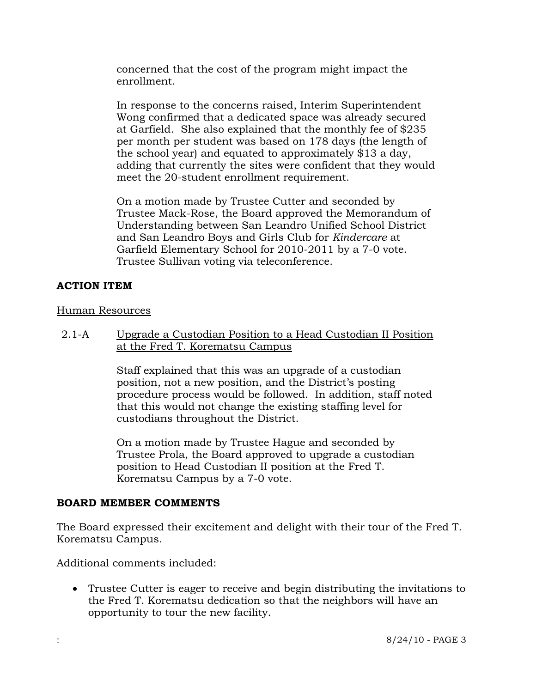concerned that the cost of the program might impact the enrollment.

In response to the concerns raised, Interim Superintendent Wong confirmed that a dedicated space was already secured at Garfield. She also explained that the monthly fee of \$235 per month per student was based on 178 days (the length of the school year) and equated to approximately \$13 a day, adding that currently the sites were confident that they would meet the 20-student enrollment requirement.

On a motion made by Trustee Cutter and seconded by Trustee Mack-Rose, the Board approved the Memorandum of Understanding between San Leandro Unified School District and San Leandro Boys and Girls Club for *Kindercare* at Garfield Elementary School for 2010-2011 by a 7-0 vote. Trustee Sullivan voting via teleconference.

# **ACTION ITEM**

#### Human Resources

2.1-A Upgrade a Custodian Position to a Head Custodian II Position at the Fred T. Korematsu Campus

> Staff explained that this was an upgrade of a custodian position, not a new position, and the District's posting procedure process would be followed. In addition, staff noted that this would not change the existing staffing level for custodians throughout the District.

On a motion made by Trustee Hague and seconded by Trustee Prola, the Board approved to upgrade a custodian position to Head Custodian II position at the Fred T. Korematsu Campus by a 7-0 vote.

# **BOARD MEMBER COMMENTS**

The Board expressed their excitement and delight with their tour of the Fred T. Korematsu Campus.

Additional comments included:

 Trustee Cutter is eager to receive and begin distributing the invitations to the Fred T. Korematsu dedication so that the neighbors will have an opportunity to tour the new facility.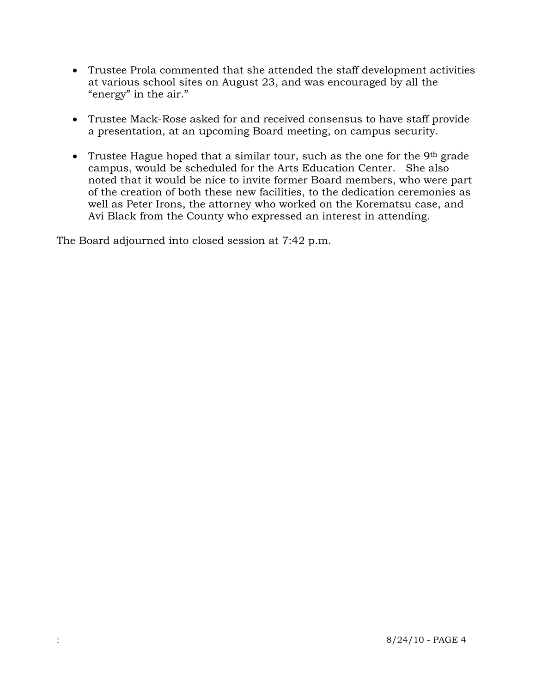- Trustee Prola commented that she attended the staff development activities at various school sites on August 23, and was encouraged by all the "energy" in the air."
- Trustee Mack-Rose asked for and received consensus to have staff provide a presentation, at an upcoming Board meeting, on campus security.
- Trustee Hague hoped that a similar tour, such as the one for the  $9<sup>th</sup>$  grade campus, would be scheduled for the Arts Education Center. She also noted that it would be nice to invite former Board members, who were part of the creation of both these new facilities, to the dedication ceremonies as well as Peter Irons, the attorney who worked on the Korematsu case, and Avi Black from the County who expressed an interest in attending.

The Board adjourned into closed session at 7:42 p.m.